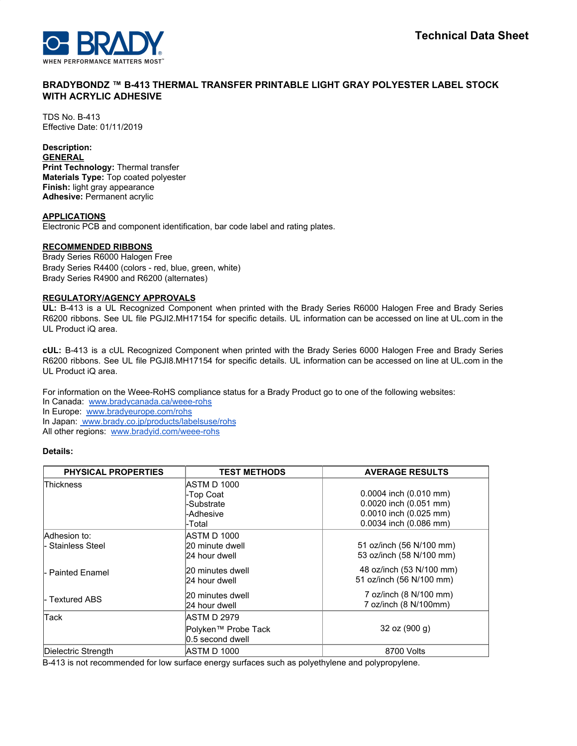

# **BRADYBONDZ ™ B-413 THERMAL TRANSFER PRINTABLE LIGHT GRAY POLYESTER LABEL STOCK WITH ACRYLIC ADHESIVE**

TDS No. B-413 Effective Date: 01/11/2019

# **Description:**

**GENERAL Print Technology:** Thermal transfer **Materials Type:** Top coated polyester **Finish:** light gray appearance **Adhesive:** Permanent acrylic

## **APPLICATIONS**

Electronic PCB and component identification, bar code label and rating plates.

## **RECOMMENDED RIBBONS**

Brady Series R6000 Halogen Free Brady Series R4400 (colors - red, blue, green, white) Brady Series R4900 and R6200 (alternates)

## **REGULATORY/AGENCY APPROVALS**

**UL:** B-413 is a UL Recognized Component when printed with the Brady Series R6000 Halogen Free and Brady Series R6200 ribbons. See UL file PGJI2.MH17154 for specific details. UL information can be accessed on line at UL.com in the UL Product iQ area.

**cUL:** B-413 is a cUL Recognized Component when printed with the Brady Series 6000 Halogen Free and Brady Series R6200 ribbons. See UL file PGJI8.MH17154 for specific details. UL information can be accessed on line at UL.com in the UL Product iQ area.

For information on the Weee-RoHS compliance status for a Brady Product go to one of the following websites:

- In Canada: [www.bradycanada.ca/weee-rohs](http://www.bradycanada.ca/weee-rohs)
- In Europe: [www.bradyeurope.com/rohs](http://www.bradyeurope.com/rohs)

In Japan: www.[brady.co.jp/products/labelsuse/rohs](https://brady.co.jp/products/labelsuse/rohs)

All other regions: [www.bradyid.com/weee-rohs](http://www.bradyid.com/weee-rohs)

## **Details:**

| <b>PHYSICAL PROPERTIES</b> | <b>TEST METHODS</b> | <b>AVERAGE RESULTS</b>     |
|----------------------------|---------------------|----------------------------|
| lThickness                 | ASTM D 1000         |                            |
|                            | -Top Coat           | $0.0004$ inch $(0.010$ mm) |
|                            | -Substrate          | 0.0020 inch (0.051 mm)     |
|                            | -Adhesive           | 0.0010 inch (0.025 mm)     |
|                            | -Total              | 0.0034 inch (0.086 mm)     |
| Adhesion to:               | ASTM D 1000         |                            |
| - Stainless Steel          | 20 minute dwell     | 51 oz/inch (56 N/100 mm)   |
|                            | 24 hour dwell       | 53 oz/inch (58 N/100 mm)   |
| - Painted Enamel           | 20 minutes dwell    | 48 oz/inch (53 N/100 mm)   |
|                            | 24 hour dwell       | 51 oz/inch (56 N/100 mm)   |
| l- Textured ABS            | 20 minutes dwell    | 7 oz/inch (8 N/100 mm)     |
|                            | 24 hour dwell       | 7 oz/inch (8 N/100mm)      |
| Tack                       | ASTM D 2979         |                            |
|                            | Polyken™ Probe Tack | 32 oz (900 g)              |
|                            | 0.5 second dwell    |                            |
| Dielectric Strength        | ASTM D 1000         | 8700 Volts                 |

B-413 is not recommended for low surface energy surfaces such as polyethylene and polypropylene.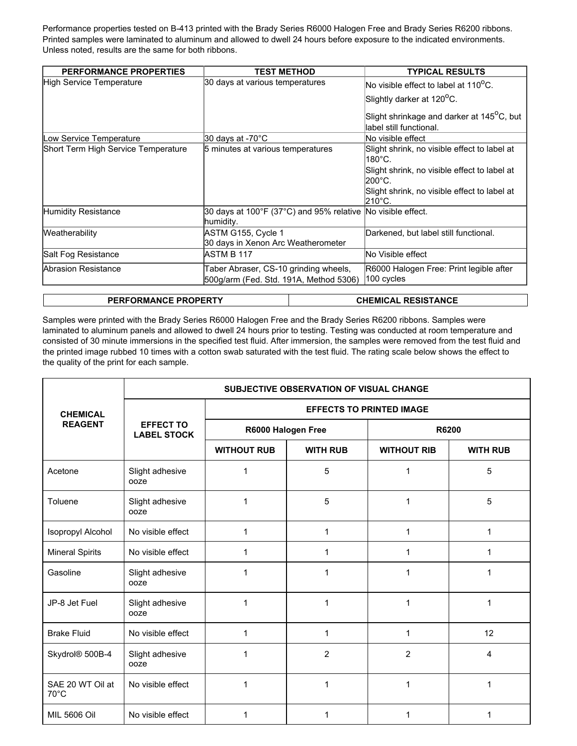Performance properties tested on B-413 printed with the Brady Series R6000 Halogen Free and Brady Series R6200 ribbons. Printed samples were laminated to aluminum and allowed to dwell 24 hours before exposure to the indicated environments. Unless noted, results are the same for both ribbons.

| <b>PERFORMANCE PROPERTIES</b>       | <b>TEST METHOD</b>                                                                  | <b>TYPICAL RESULTS</b>                                  |  |
|-------------------------------------|-------------------------------------------------------------------------------------|---------------------------------------------------------|--|
| High Service Temperature            | 30 days at various temperatures                                                     | No visible effect to label at 110 <sup>o</sup> C.       |  |
|                                     |                                                                                     | Slightly darker at 120 <sup>o</sup> C.                  |  |
|                                     |                                                                                     | Slight shrinkage and darker at 145 <sup>o</sup> C, but  |  |
|                                     |                                                                                     | llabel still functional.                                |  |
| Low Service Temperature             | 30 days at -70°C                                                                    | No visible effect                                       |  |
| Short Term High Service Temperature | 5 minutes at various temperatures                                                   | Slight shrink, no visible effect to label at<br>180°C.  |  |
|                                     |                                                                                     | Slight shrink, no visible effect to label at<br>l200°C. |  |
|                                     |                                                                                     | Slight shrink, no visible effect to label at<br>l210°C. |  |
| Humidity Resistance                 | $ 30 \text{ days}$ at 100°F (37°C) and 95% relative No visible effect.<br>humidity. |                                                         |  |
| Weatherability                      | ASTM G155, Cycle 1<br>30 days in Xenon Arc Weatherometer                            | Darkened, but label still functional.                   |  |
| Salt Fog Resistance                 | ASTM B 117                                                                          | <b>No Visible effect</b>                                |  |
| Abrasion Resistance                 | Taber Abraser, CS-10 grinding wheels,<br>500q/arm (Fed. Std. 191A, Method 5306)     | R6000 Halogen Free: Print legible after<br>100 cycles   |  |

| <b>PERFORMANCE PROPERTY</b><br><b>CHEMICAL RESISTANCE</b> |
|-----------------------------------------------------------|
|-----------------------------------------------------------|

Samples were printed with the Brady Series R6000 Halogen Free and the Brady Series R6200 ribbons. Samples were laminated to aluminum panels and allowed to dwell 24 hours prior to testing. Testing was conducted at room temperature and consisted of 30 minute immersions in the specified test fluid. After immersion, the samples were removed from the test fluid and the printed image rubbed 10 times with a cotton swab saturated with the test fluid. The rating scale below shows the effect to the quality of the print for each sample.

|                                    | SUBJECTIVE OBSERVATION OF VISUAL CHANGE |                                 |                 |                    |                 |
|------------------------------------|-----------------------------------------|---------------------------------|-----------------|--------------------|-----------------|
| <b>CHEMICAL</b><br><b>REAGENT</b>  |                                         | <b>EFFECTS TO PRINTED IMAGE</b> |                 |                    |                 |
|                                    | <b>EFFECT TO</b><br><b>LABEL STOCK</b>  | R6000 Halogen Free              |                 | R6200              |                 |
|                                    |                                         | <b>WITHOUT RUB</b>              | <b>WITH RUB</b> | <b>WITHOUT RIB</b> | <b>WITH RUB</b> |
| Acetone                            | Slight adhesive<br>ooze                 | 1                               | 5               | 1                  | 5               |
| Toluene                            | Slight adhesive<br>ooze                 | 1                               | 5               | 1                  | 5               |
| Isopropyl Alcohol                  | No visible effect                       | 1                               | 1               | 1                  | 1               |
| <b>Mineral Spirits</b>             | No visible effect                       | 1                               | 1               | 1                  | 1               |
| Gasoline                           | Slight adhesive<br>ooze                 | 1                               | 1               | 1                  | 1               |
| JP-8 Jet Fuel                      | Slight adhesive<br>ooze                 | 1                               | 1               | 1                  | 1               |
| <b>Brake Fluid</b>                 | No visible effect                       | 1                               | 1               | 1                  | 12              |
| Skydrol <sup>®</sup> 500B-4        | Slight adhesive<br>ooze                 | 1                               | 2               | $\overline{2}$     | 4               |
| SAE 20 WT Oil at<br>$70^{\circ}$ C | No visible effect                       | 1                               | 1               | 1                  | 1               |
| <b>MIL 5606 Oil</b>                | No visible effect                       | 1                               | 1               |                    |                 |